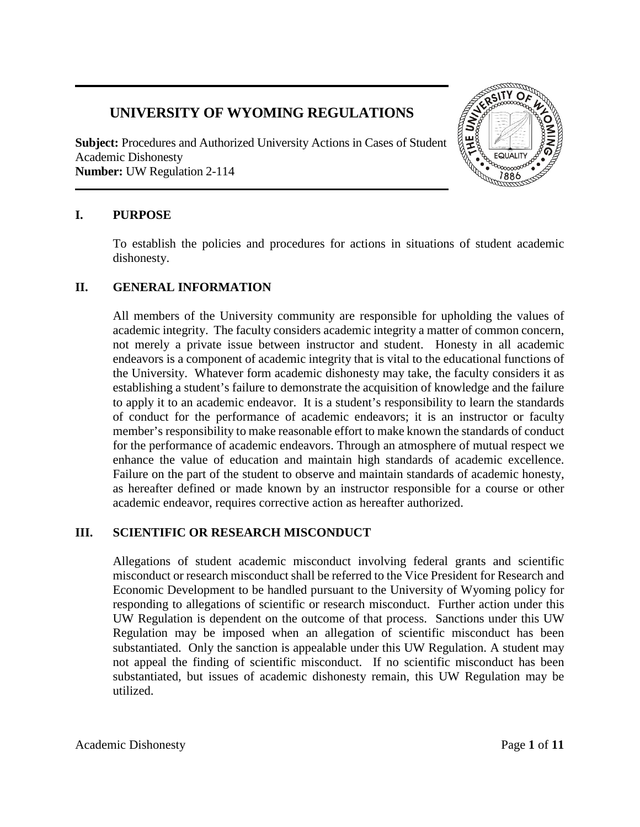# **UNIVERSITY OF WYOMING REGULATIONS**

**Subject:** Procedures and Authorized University Actions in Cases of Student Academic Dishonesty **Number:** UW Regulation 2-114



## **I. PURPOSE**

To establish the policies and procedures for actions in situations of student academic dishonesty.

## **II. GENERAL INFORMATION**

All members of the University community are responsible for upholding the values of academic integrity. The faculty considers academic integrity a matter of common concern, not merely a private issue between instructor and student. Honesty in all academic endeavors is a component of academic integrity that is vital to the educational functions of the University. Whatever form academic dishonesty may take, the faculty considers it as establishing a student's failure to demonstrate the acquisition of knowledge and the failure to apply it to an academic endeavor. It is a student's responsibility to learn the standards of conduct for the performance of academic endeavors; it is an instructor or faculty member's responsibility to make reasonable effort to make known the standards of conduct for the performance of academic endeavors. Through an atmosphere of mutual respect we enhance the value of education and maintain high standards of academic excellence. Failure on the part of the student to observe and maintain standards of academic honesty, as hereafter defined or made known by an instructor responsible for a course or other academic endeavor, requires corrective action as hereafter authorized.

## **III. SCIENTIFIC OR RESEARCH MISCONDUCT**

Allegations of student academic misconduct involving federal grants and scientific misconduct or research misconduct shall be referred to the Vice President for Research and Economic Development to be handled pursuant to the University of Wyoming policy for responding to allegations of scientific or research misconduct. Further action under this UW Regulation is dependent on the outcome of that process. Sanctions under this UW Regulation may be imposed when an allegation of scientific misconduct has been substantiated. Only the sanction is appealable under this UW Regulation. A student may not appeal the finding of scientific misconduct. If no scientific misconduct has been substantiated, but issues of academic dishonesty remain, this UW Regulation may be utilized.

Academic Dishonesty Page 1 of 11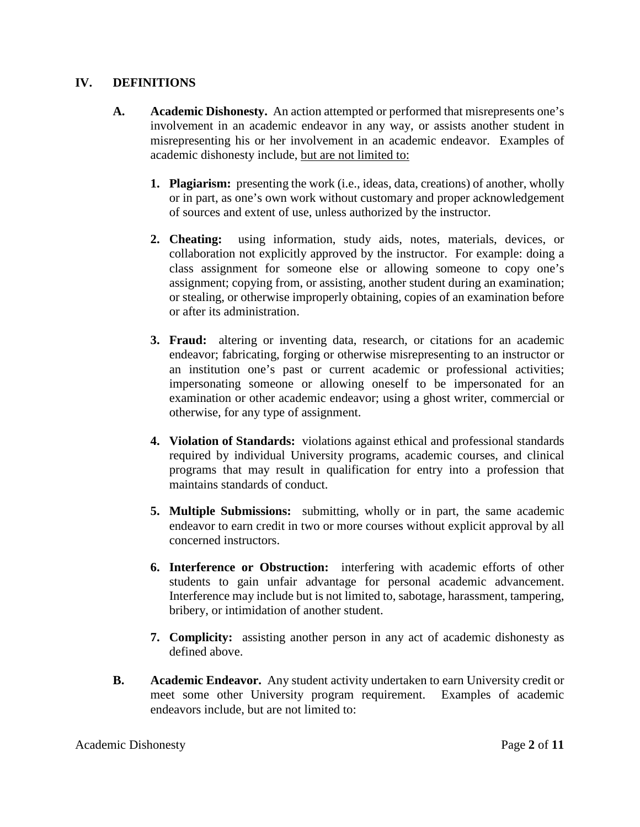#### **IV. DEFINITIONS**

- **A. Academic Dishonesty.** An action attempted or performed that misrepresents one's involvement in an academic endeavor in any way, or assists another student in misrepresenting his or her involvement in an academic endeavor. Examples of academic dishonesty include, but are not limited to:
	- **1. Plagiarism:** presenting the work (i.e., ideas, data, creations) of another, wholly or in part, as one's own work without customary and proper acknowledgement of sources and extent of use, unless authorized by the instructor.
	- **2. Cheating:** using information, study aids, notes, materials, devices, or collaboration not explicitly approved by the instructor. For example: doing a class assignment for someone else or allowing someone to copy one's assignment; copying from, or assisting, another student during an examination; or stealing, or otherwise improperly obtaining, copies of an examination before or after its administration.
	- **3. Fraud:** altering or inventing data, research, or citations for an academic endeavor; fabricating, forging or otherwise misrepresenting to an instructor or an institution one's past or current academic or professional activities; impersonating someone or allowing oneself to be impersonated for an examination or other academic endeavor; using a ghost writer, commercial or otherwise, for any type of assignment.
	- **4. Violation of Standards:** violations against ethical and professional standards required by individual University programs, academic courses, and clinical programs that may result in qualification for entry into a profession that maintains standards of conduct.
	- **5. Multiple Submissions:** submitting, wholly or in part, the same academic endeavor to earn credit in two or more courses without explicit approval by all concerned instructors.
	- **6. Interference or Obstruction:** interfering with academic efforts of other students to gain unfair advantage for personal academic advancement. Interference may include but is not limited to, sabotage, harassment, tampering, bribery, or intimidation of another student.
	- **7. Complicity:** assisting another person in any act of academic dishonesty as defined above.
- **B. Academic Endeavor.** Any student activity undertaken to earn University credit or meet some other University program requirement. Examples of academic endeavors include, but are not limited to: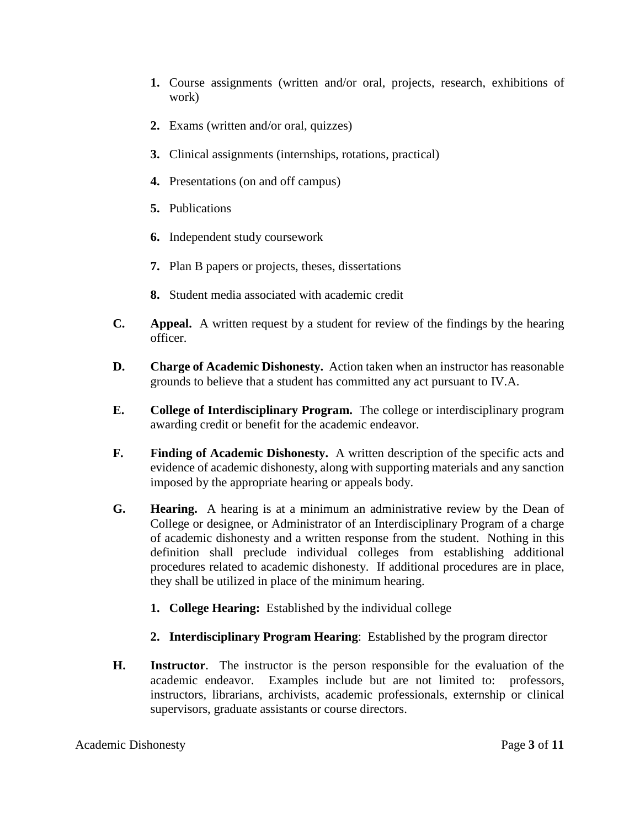- **1.** Course assignments (written and/or oral, projects, research, exhibitions of work)
- **2.** Exams (written and/or oral, quizzes)
- **3.** Clinical assignments (internships, rotations, practical)
- **4.** Presentations (on and off campus)
- **5.** Publications
- **6.** Independent study coursework
- **7.** Plan B papers or projects, theses, dissertations
- **8.** Student media associated with academic credit
- **C. Appeal.** A written request by a student for review of the findings by the hearing officer.
- **D. Charge of Academic Dishonesty.** Action taken when an instructor has reasonable grounds to believe that a student has committed any act pursuant to IV.A.
- **E. College of Interdisciplinary Program.** The college or interdisciplinary program awarding credit or benefit for the academic endeavor.
- **F. Finding of Academic Dishonesty.** A written description of the specific acts and evidence of academic dishonesty, along with supporting materials and any sanction imposed by the appropriate hearing or appeals body.
- **G. Hearing.** A hearing is at a minimum an administrative review by the Dean of College or designee, or Administrator of an Interdisciplinary Program of a charge of academic dishonesty and a written response from the student. Nothing in this definition shall preclude individual colleges from establishing additional procedures related to academic dishonesty. If additional procedures are in place, they shall be utilized in place of the minimum hearing.
	- **1. College Hearing:** Established by the individual college
	- **2. Interdisciplinary Program Hearing**: Established by the program director
- **H. Instructor**. The instructor is the person responsible for the evaluation of the academic endeavor. Examples include but are not limited to: professors, instructors, librarians, archivists, academic professionals, externship or clinical supervisors, graduate assistants or course directors.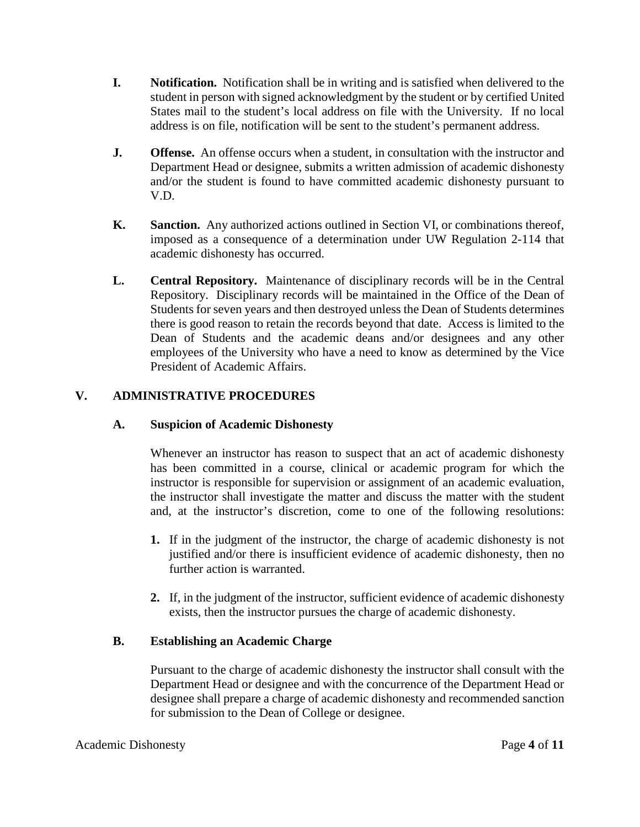- **I. Notification.** Notification shall be in writing and is satisfied when delivered to the student in person with signed acknowledgment by the student or by certified United States mail to the student's local address on file with the University. If no local address is on file, notification will be sent to the student's permanent address.
- **J. Offense.** An offense occurs when a student, in consultation with the instructor and Department Head or designee, submits a written admission of academic dishonesty and/or the student is found to have committed academic dishonesty pursuant to V.D.
- **K. Sanction.** Any authorized actions outlined in Section VI, or combinations thereof, imposed as a consequence of a determination under UW Regulation 2-114 that academic dishonesty has occurred.
- **L. Central Repository.** Maintenance of disciplinary records will be in the Central Repository. Disciplinary records will be maintained in the Office of the Dean of Students for seven years and then destroyed unless the Dean of Students determines there is good reason to retain the records beyond that date. Access is limited to the Dean of Students and the academic deans and/or designees and any other employees of the University who have a need to know as determined by the Vice President of Academic Affairs.

## **V. ADMINISTRATIVE PROCEDURES**

## **A. Suspicion of Academic Dishonesty**

Whenever an instructor has reason to suspect that an act of academic dishonesty has been committed in a course, clinical or academic program for which the instructor is responsible for supervision or assignment of an academic evaluation, the instructor shall investigate the matter and discuss the matter with the student and, at the instructor's discretion, come to one of the following resolutions:

- **1.** If in the judgment of the instructor, the charge of academic dishonesty is not justified and/or there is insufficient evidence of academic dishonesty, then no further action is warranted.
- **2.** If, in the judgment of the instructor, sufficient evidence of academic dishonesty exists, then the instructor pursues the charge of academic dishonesty.

## **B. Establishing an Academic Charge**

Pursuant to the charge of academic dishonesty the instructor shall consult with the Department Head or designee and with the concurrence of the Department Head or designee shall prepare a charge of academic dishonesty and recommended sanction for submission to the Dean of College or designee.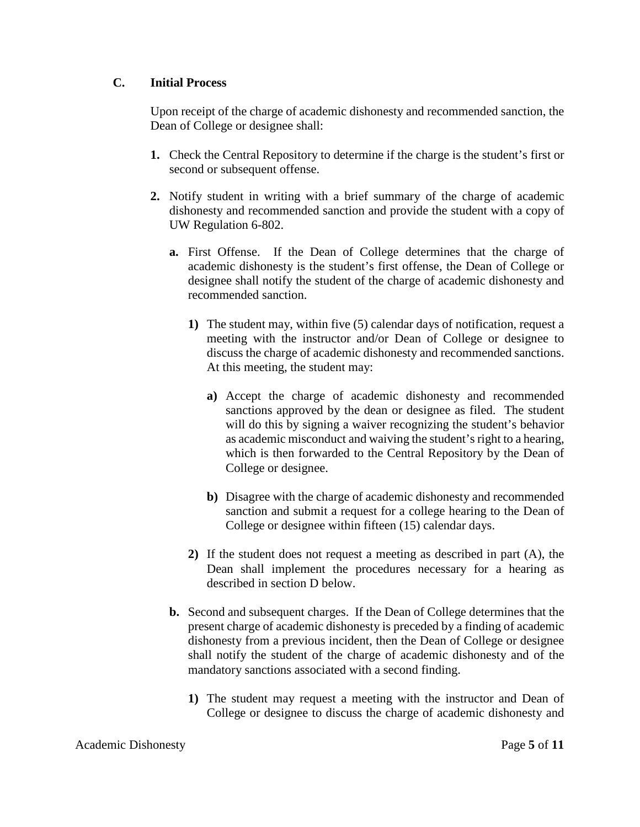## **C. Initial Process**

Upon receipt of the charge of academic dishonesty and recommended sanction, the Dean of College or designee shall:

- **1.** Check the Central Repository to determine if the charge is the student's first or second or subsequent offense.
- **2.** Notify student in writing with a brief summary of the charge of academic dishonesty and recommended sanction and provide the student with a copy of UW Regulation 6-802.
	- **a.** First Offense. If the Dean of College determines that the charge of academic dishonesty is the student's first offense, the Dean of College or designee shall notify the student of the charge of academic dishonesty and recommended sanction.
		- **1)** The student may, within five (5) calendar days of notification, request a meeting with the instructor and/or Dean of College or designee to discuss the charge of academic dishonesty and recommended sanctions. At this meeting, the student may:
			- **a)** Accept the charge of academic dishonesty and recommended sanctions approved by the dean or designee as filed. The student will do this by signing a waiver recognizing the student's behavior as academic misconduct and waiving the student's right to a hearing, which is then forwarded to the Central Repository by the Dean of College or designee.
			- **b)** Disagree with the charge of academic dishonesty and recommended sanction and submit a request for a college hearing to the Dean of College or designee within fifteen (15) calendar days.
		- **2)** If the student does not request a meeting as described in part (A), the Dean shall implement the procedures necessary for a hearing as described in section D below.
	- **b.** Second and subsequent charges. If the Dean of College determines that the present charge of academic dishonesty is preceded by a finding of academic dishonesty from a previous incident, then the Dean of College or designee shall notify the student of the charge of academic dishonesty and of the mandatory sanctions associated with a second finding.
		- **1)** The student may request a meeting with the instructor and Dean of College or designee to discuss the charge of academic dishonesty and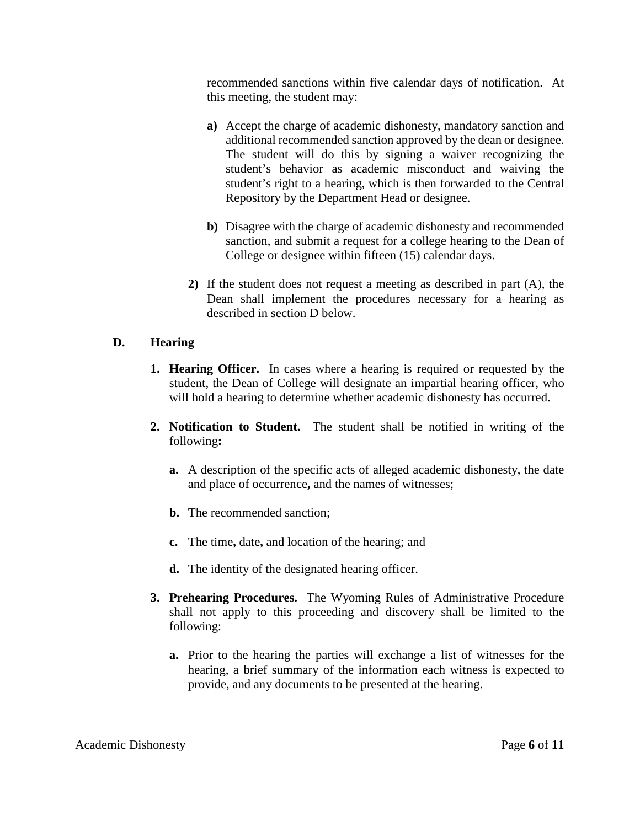recommended sanctions within five calendar days of notification. At this meeting, the student may:

- **a)** Accept the charge of academic dishonesty, mandatory sanction and additional recommended sanction approved by the dean or designee. The student will do this by signing a waiver recognizing the student's behavior as academic misconduct and waiving the student's right to a hearing, which is then forwarded to the Central Repository by the Department Head or designee.
- **b)** Disagree with the charge of academic dishonesty and recommended sanction, and submit a request for a college hearing to the Dean of College or designee within fifteen (15) calendar days.
- **2)** If the student does not request a meeting as described in part (A), the Dean shall implement the procedures necessary for a hearing as described in section D below.

## **D. Hearing**

- **1. Hearing Officer.** In cases where a hearing is required or requested by the student, the Dean of College will designate an impartial hearing officer, who will hold a hearing to determine whether academic dishonesty has occurred.
- **2. Notification to Student.** The student shall be notified in writing of the following**:**
	- **a.** A description of the specific acts of alleged academic dishonesty, the date and place of occurrence**,** and the names of witnesses;
	- **b.** The recommended sanction:
	- **c.** The time**,** date**,** and location of the hearing; and
	- **d.** The identity of the designated hearing officer.
- **3. Prehearing Procedures.** The Wyoming Rules of Administrative Procedure shall not apply to this proceeding and discovery shall be limited to the following:
	- **a.** Prior to the hearing the parties will exchange a list of witnesses for the hearing, a brief summary of the information each witness is expected to provide, and any documents to be presented at the hearing.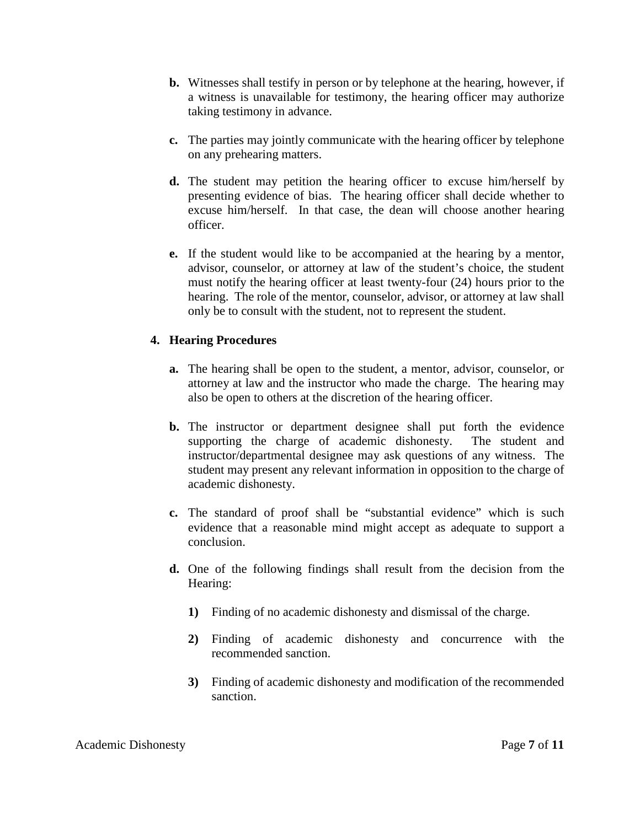- **b.** Witnesses shall testify in person or by telephone at the hearing, however, if a witness is unavailable for testimony, the hearing officer may authorize taking testimony in advance.
- **c.** The parties may jointly communicate with the hearing officer by telephone on any prehearing matters.
- **d.** The student may petition the hearing officer to excuse him/herself by presenting evidence of bias. The hearing officer shall decide whether to excuse him/herself. In that case, the dean will choose another hearing officer.
- **e.** If the student would like to be accompanied at the hearing by a mentor, advisor, counselor, or attorney at law of the student's choice, the student must notify the hearing officer at least twenty-four (24) hours prior to the hearing. The role of the mentor, counselor, advisor, or attorney at law shall only be to consult with the student, not to represent the student.

#### **4. Hearing Procedures**

- **a.** The hearing shall be open to the student, a mentor, advisor, counselor, or attorney at law and the instructor who made the charge. The hearing may also be open to others at the discretion of the hearing officer.
- **b.** The instructor or department designee shall put forth the evidence supporting the charge of academic dishonesty. The student and instructor/departmental designee may ask questions of any witness. The student may present any relevant information in opposition to the charge of academic dishonesty.
- **c.** The standard of proof shall be "substantial evidence" which is such evidence that a reasonable mind might accept as adequate to support a conclusion.
- **d.** One of the following findings shall result from the decision from the Hearing:
	- **1)** Finding of no academic dishonesty and dismissal of the charge.
	- **2)** Finding of academic dishonesty and concurrence with the recommended sanction.
	- **3)** Finding of academic dishonesty and modification of the recommended sanction.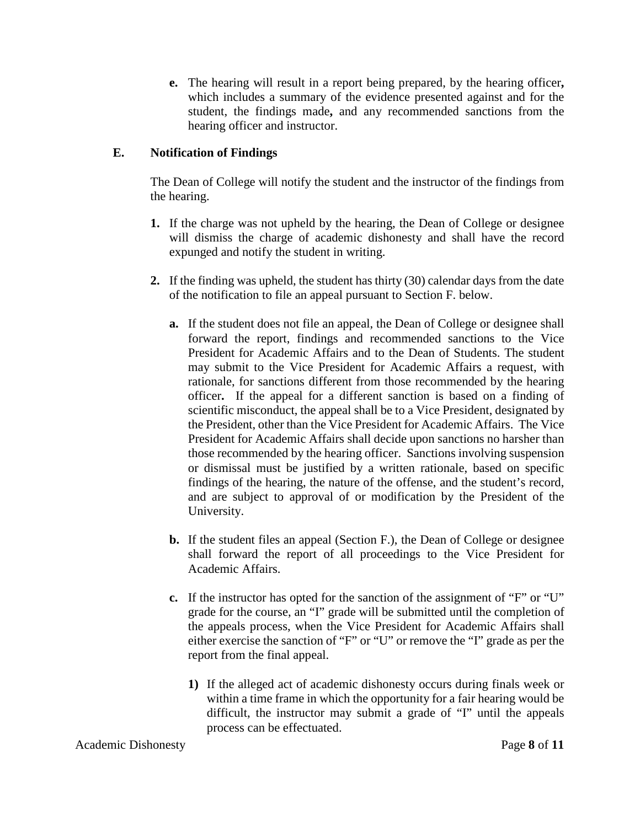**e.** The hearing will result in a report being prepared, by the hearing officer**,**  which includes a summary of the evidence presented against and for the student, the findings made**,** and any recommended sanctions from the hearing officer and instructor.

## **E. Notification of Findings**

The Dean of College will notify the student and the instructor of the findings from the hearing.

- **1.** If the charge was not upheld by the hearing, the Dean of College or designee will dismiss the charge of academic dishonesty and shall have the record expunged and notify the student in writing.
- **2.** If the finding was upheld, the student has thirty (30) calendar days from the date of the notification to file an appeal pursuant to Section F. below.
	- **a.** If the student does not file an appeal, the Dean of College or designee shall forward the report, findings and recommended sanctions to the Vice President for Academic Affairs and to the Dean of Students. The student may submit to the Vice President for Academic Affairs a request, with rationale, for sanctions different from those recommended by the hearing officer**.** If the appeal for a different sanction is based on a finding of scientific misconduct, the appeal shall be to a Vice President, designated by the President, other than the Vice President for Academic Affairs. The Vice President for Academic Affairs shall decide upon sanctions no harsher than those recommended by the hearing officer. Sanctions involving suspension or dismissal must be justified by a written rationale, based on specific findings of the hearing, the nature of the offense, and the student's record, and are subject to approval of or modification by the President of the University.
	- **b.** If the student files an appeal (Section F.), the Dean of College or designee shall forward the report of all proceedings to the Vice President for Academic Affairs.
	- **c.** If the instructor has opted for the sanction of the assignment of "F" or "U" grade for the course, an "I" grade will be submitted until the completion of the appeals process, when the Vice President for Academic Affairs shall either exercise the sanction of "F" or "U" or remove the "I" grade as per the report from the final appeal.
		- **1)** If the alleged act of academic dishonesty occurs during finals week or within a time frame in which the opportunity for a fair hearing would be difficult, the instructor may submit a grade of "I" until the appeals process can be effectuated.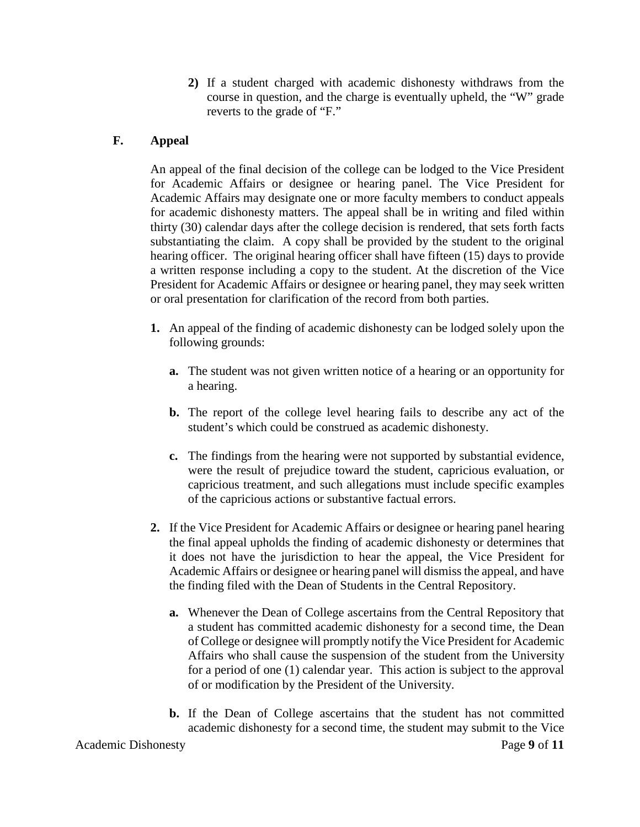**2)** If a student charged with academic dishonesty withdraws from the course in question, and the charge is eventually upheld, the "W" grade reverts to the grade of "F."

### **F. Appeal**

An appeal of the final decision of the college can be lodged to the Vice President for Academic Affairs or designee or hearing panel. The Vice President for Academic Affairs may designate one or more faculty members to conduct appeals for academic dishonesty matters. The appeal shall be in writing and filed within thirty (30) calendar days after the college decision is rendered, that sets forth facts substantiating the claim. A copy shall be provided by the student to the original hearing officer. The original hearing officer shall have fifteen (15) days to provide a written response including a copy to the student. At the discretion of the Vice President for Academic Affairs or designee or hearing panel, they may seek written or oral presentation for clarification of the record from both parties.

- **1.** An appeal of the finding of academic dishonesty can be lodged solely upon the following grounds:
	- **a.** The student was not given written notice of a hearing or an opportunity for a hearing.
	- **b.** The report of the college level hearing fails to describe any act of the student's which could be construed as academic dishonesty.
	- **c.** The findings from the hearing were not supported by substantial evidence, were the result of prejudice toward the student, capricious evaluation, or capricious treatment, and such allegations must include specific examples of the capricious actions or substantive factual errors.
- **2.** If the Vice President for Academic Affairs or designee or hearing panel hearing the final appeal upholds the finding of academic dishonesty or determines that it does not have the jurisdiction to hear the appeal, the Vice President for Academic Affairs or designee or hearing panel will dismiss the appeal, and have the finding filed with the Dean of Students in the Central Repository.
	- **a.** Whenever the Dean of College ascertains from the Central Repository that a student has committed academic dishonesty for a second time, the Dean of College or designee will promptly notify the Vice President for Academic Affairs who shall cause the suspension of the student from the University for a period of one (1) calendar year. This action is subject to the approval of or modification by the President of the University.
	- **b.** If the Dean of College ascertains that the student has not committed academic dishonesty for a second time, the student may submit to the Vice

Academic Dishonesty **Page 9** of 11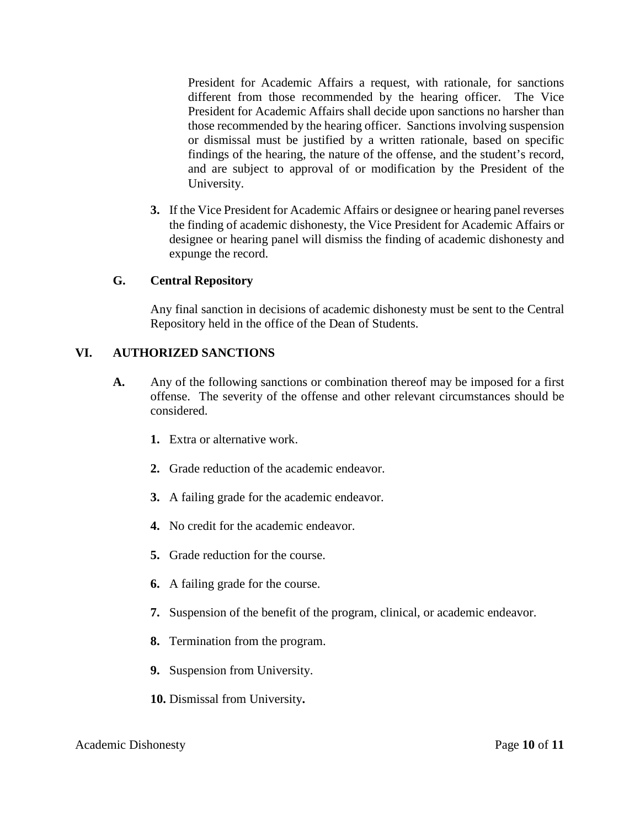President for Academic Affairs a request, with rationale, for sanctions different from those recommended by the hearing officer. The Vice President for Academic Affairs shall decide upon sanctions no harsher than those recommended by the hearing officer. Sanctions involving suspension or dismissal must be justified by a written rationale, based on specific findings of the hearing, the nature of the offense, and the student's record, and are subject to approval of or modification by the President of the University.

**3.** If the Vice President for Academic Affairs or designee or hearing panel reverses the finding of academic dishonesty, the Vice President for Academic Affairs or designee or hearing panel will dismiss the finding of academic dishonesty and expunge the record.

#### **G. Central Repository**

Any final sanction in decisions of academic dishonesty must be sent to the Central Repository held in the office of the Dean of Students.

#### **VI. AUTHORIZED SANCTIONS**

- **A.** Any of the following sanctions or combination thereof may be imposed for a first offense. The severity of the offense and other relevant circumstances should be considered.
	- **1.** Extra or alternative work.
	- **2.** Grade reduction of the academic endeavor.
	- **3.** A failing grade for the academic endeavor.
	- **4.** No credit for the academic endeavor.
	- **5.** Grade reduction for the course.
	- **6.** A failing grade for the course.
	- **7.** Suspension of the benefit of the program, clinical, or academic endeavor.
	- **8.** Termination from the program.
	- **9.** Suspension from University.
	- **10.** Dismissal from University**.**

#### Academic Dishonesty Page **10** of **11**